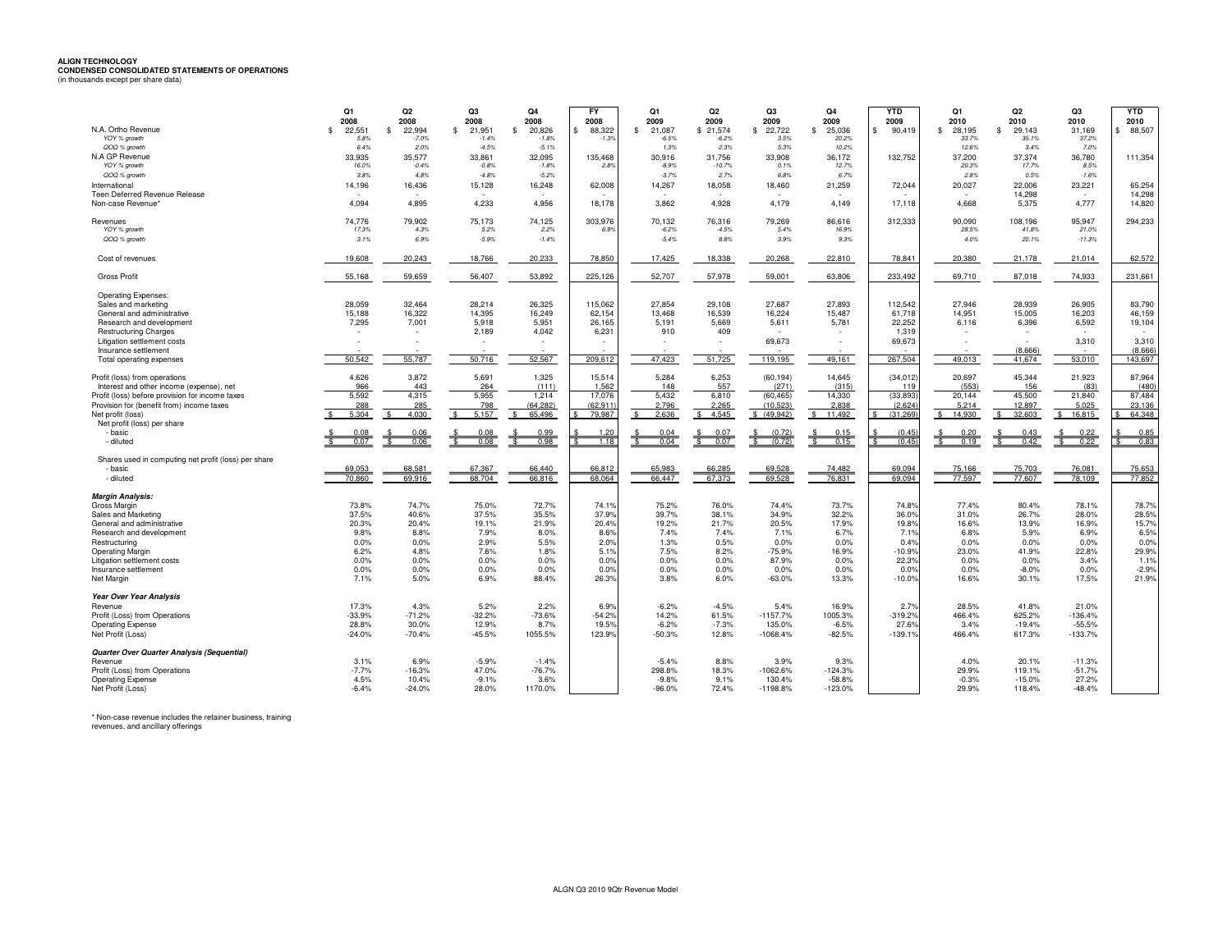## **ALIGN TECHNOLOGY CONDENSED CONSOLIDATED STATEMENTS OF OPERATIONS** (in thousands except per share data)

| N.A. Ortho Revenue                                              | Q1<br>2008                           | Q <sub>2</sub><br>2008                  | Q3<br>2008              | Q <sub>4</sub><br>2008<br>$\mathbf{\$}$ | FY<br>2008              | Q1<br>2009              | Q <sub>2</sub><br>2009 | Q3<br>2009             | Q <sub>4</sub><br>2009                | <b>YTD</b><br>2009  | Q1<br>2010            | Q <sub>2</sub><br>2010 | Q3<br>2010        | <b>YTD</b><br>2010 |
|-----------------------------------------------------------------|--------------------------------------|-----------------------------------------|-------------------------|-----------------------------------------|-------------------------|-------------------------|------------------------|------------------------|---------------------------------------|---------------------|-----------------------|------------------------|-------------------|--------------------|
| YOY % growth                                                    | 22.551<br>$\mathbf{\hat{s}}$<br>5.8% | 22.994<br>$\mathbf{\hat{s}}$<br>$-7.0%$ | 21.951<br>£.<br>$-1.4%$ | 20,826<br>$-1.8%$                       | 88,322<br>\$<br>$-1.3%$ | \$<br>21.087<br>$-6.5%$ | \$21.574<br>$-6.2%$    | \$<br>22,722<br>3.5%   | $\mathbf{\hat{s}}$<br>25.036<br>20.2% | 90.419<br>\$.       | 28.195<br>\$<br>33.7% | \$<br>29.143<br>35.1%  | 31.169<br>37.2%   | \$88,507           |
| QOQ % growth                                                    | 6.4%                                 | 2.0%                                    | $-4.5%$                 | $-5.1%$                                 |                         | 1.3%                    | 2.3%                   | 5.3%                   | 10.2%                                 |                     | 12.6%                 | 3.4%                   | 7.0%              |                    |
| N.A GP Revenue<br>YOY % growth                                  | 33.935<br>16.0%                      | 35.577<br>$-0.4%$                       | 33.861<br>$-0.8%$       | 32.095<br>$-1.8%$                       | 135,468<br>2.8%         | 30.916<br>$-8.9%$       | 31.756<br>$-10.7%$     | 33.908<br>0.1%         | 36.172<br>12.7%                       | 132,752             | 37,200<br>20.3%       | 37.374<br>17.7%        | 36.780<br>8.5%    | 111,354            |
| QOQ % growth                                                    | 3.8%                                 | 4.8%                                    | $-4.8%$                 | $-5.2%$                                 |                         | $-3.7%$                 | 2.7%                   | 6.8%                   | 6.7%                                  |                     | 2.8%                  | 0.5%                   | $-1.6%$           |                    |
| International                                                   | 14,196                               | 16,436                                  | 15,128                  | 16,248                                  | 62,008                  | 14,267                  | 18,058                 | 18,460                 | 21,259                                | 72,044              | 20,027                | 22,006                 | 23,221            | 65,254             |
| Teen Deferred Revenue Release<br>Non-case Revenue'              | 4,094                                | 4.895                                   | 4.233                   | 4.956                                   | 18.178                  | 3.862                   | 4.928                  | 4,179                  | 4.149                                 | 17.118              | 4.668                 | 14,298<br>5.375        | $\sim$<br>4,777   | 14,298<br>14,820   |
|                                                                 |                                      |                                         |                         |                                         |                         |                         |                        |                        |                                       |                     |                       |                        |                   |                    |
| Revenues                                                        | 74.776                               | 79.902                                  | 75.173                  | 74,125                                  | 303,976                 | 70.132                  | 76,316                 | 79.269                 | 86.616                                | 312,333             | 90.090                | 108.196                | 95.947            | 294,233            |
| YOY % growth<br>QOQ % growth                                    | 17.3%<br>3.1%                        | 4.3%<br>6.9%                            | 5.2%<br>$-5.9%$         | 2.2%<br>$-1.4%$                         | 6.9%                    | $-6.2%$<br>$-5.4%$      | $-4.5%$<br>8.8%        | 5.4%<br>3.9%           | 16.9%<br>9.3%                         |                     | 28.5%<br>4.0%         | 41.8%<br>20.1%         | 21.0%<br>$-11.3%$ |                    |
|                                                                 |                                      |                                         |                         |                                         |                         |                         |                        |                        |                                       |                     |                       |                        |                   |                    |
| Cost of revenues                                                | 19,608                               | 20,243                                  | 18,766                  | 20,233                                  | 78,850                  | 17,425                  | 18,338                 | 20,268                 | 22,810                                | 78,841              | 20,380                | 21,178                 | 21,014            | 62,572             |
| <b>Gross Profit</b>                                             | 55,168                               | 59,659                                  | 56,407                  | 53,892                                  | 225,126                 | 52,707                  | 57,978                 | 59,001                 | 63,806                                | 233,492             | 69,710                | 87,018                 | 74,933            | 231,661            |
| <b>Operating Expenses:</b>                                      |                                      |                                         |                         |                                         |                         |                         |                        |                        |                                       |                     |                       |                        |                   |                    |
| Sales and marketing<br>General and administrative               | 28,059<br>15,188                     | 32.464<br>16,322                        | 28.214<br>14,395        | 26,325<br>16,249                        | 115,062<br>62,154       | 27,854<br>13,468        | 29.108<br>16,539       | 27,687<br>16,224       | 27,893<br>15,487                      | 112.542<br>61,718   | 27.946<br>14,951      | 28,939<br>15,005       | 26,905<br>16,203  | 83,790<br>46,159   |
| Research and development                                        | 7,295                                | 7,001                                   | 5,918                   | 5,951                                   | 26,165                  | 5,191                   | 5,669                  | 5,611                  | 5,781                                 | 22.252              | 6,116                 | 6,396                  | 6,592             | 19,104             |
| <b>Restructuring Charges</b>                                    |                                      |                                         | 2,189                   | 4,042                                   | 6,231                   | 910                     | 409                    |                        |                                       | 1,319               |                       |                        |                   |                    |
| Litigation settlement costs<br>Insurance settlement             |                                      |                                         |                         |                                         |                         |                         |                        | 69,673                 | $\sim$                                | 69,673              |                       | (8.666)                | 3,310             | 3,310<br>(8.666)   |
| Total operating expenses                                        | 50.542                               | 55,787                                  | 50,716                  | 52,567                                  | 209,612                 | 47.423                  | 51,725                 | 119,195                | 49,161                                | 267,504             | 49.013                | 41,674                 | 53,010            | 143,697            |
| Profit (loss) from operations                                   | 4,626                                | 3,872                                   | 5,691                   | 1,325                                   | 15,514                  | 5,284                   | 6,253                  | (60, 194)              | 14,645                                | (34, 012)           | 20,697                | 45,344                 | 21,923            | 87,964             |
| Interest and other income (expense), net                        | 966                                  | 443                                     | 264                     | (111)                                   | 1,562                   | 148                     | 557                    | (271)                  | (315)                                 | 119                 | (553)                 | 156                    | (83)              | (480)              |
| Profit (loss) before provision for income taxes                 | 5,592                                | 4,315                                   | 5,955<br>798            | 1,214                                   | 17,076<br>(62.911)      | 5,432<br>2,796          | 6,810<br>2,265         | (60, 465)<br>(10, 523) | 14,330                                | (33, 893)           | 20,144                | 45,500                 | 21,840            | 87,484<br>23.136   |
| Provision for (benefit from) income taxes<br>Net profit (loss)  | 288<br>5.304                         | 285<br>4.030                            | 5.157                   | (64, 282)<br>65.496                     | 79.987                  | 2.636                   | 4.545                  | \$ (49.942)            | 2,838<br>11.492                       | (2,624)<br>(31.269) | 5,214<br>14.930       | 12,897<br>32.603       | 5,025<br>16.815   | 64.348             |
| Net profit (loss) per share                                     |                                      |                                         |                         |                                         |                         |                         |                        |                        |                                       |                     |                       |                        |                   |                    |
| - basic                                                         | 0.07                                 | 0.06                                    | 0.08                    | 0.99<br>0.98                            | 1.20<br>1.18            | 0.04<br>0.04            | 0.07<br>0.07           | (0.72)                 | 0.15<br>0.15                          | (0.45)<br>(0.45)    | 0.19                  | 0.42                   | 0.22<br>0.22      | 0.85<br>0.83       |
| - diluted                                                       |                                      |                                         |                         |                                         |                         |                         |                        |                        |                                       |                     |                       |                        |                   |                    |
| Shares used in computing net profit (loss) per share<br>- basic | 69.053                               | 68.581                                  | 67.367                  | 66.440                                  | 66.812                  | 65.983                  | 66.285                 | 69.528                 | 74.482                                | 69.094              | 75.166                | 75.703                 | 76.081            | 75.653             |
| - diluted                                                       | 70.860                               | 69.916                                  | 68.704                  | 66.816                                  | 68.064                  | 66.447                  | 67.373                 | 69.528                 | 76.831                                | 69.094              | 77.597                | 77.607                 | 78.109            | 77,852             |
| <b>Margin Analysis:</b>                                         |                                      |                                         |                         |                                         |                         |                         |                        |                        |                                       |                     |                       |                        |                   |                    |
| Gross Margin                                                    | 73.8%                                | 74.7%                                   | 75.0%                   | 72.7%                                   | 74.1%                   | 75.2%                   | 76.0%                  | 74.4%                  | 73.7%                                 | 74.8%               | 77.4%                 | 80.4%                  | 78.1%             | 78.7%              |
| Sales and Marketing                                             | 37.5%                                | 40.6%                                   | 37.5%                   | 35.5%                                   | 37.9%                   | 39.7%                   | 38.1%                  | 34.9%                  | 32.2%                                 | 36.0%               | 31.0%                 | 26.7%                  | 28.0%             | 28.5%              |
| General and administrative<br>Research and development          | 20.3%<br>9.8%                        | 20.4%<br>8.8%                           | 19.1%<br>7.9%           | 21.9%<br>8.0%                           | 20.4%<br>8.6%           | 19.2%<br>7.4%           | 21.7%<br>7.4%          | 20.5%<br>7.1%          | 17.9%<br>6.7%                         | 19.8%<br>7.1%       | 16.6%<br>6.8%         | 13.9%<br>5.9%          | 16.9%<br>6.9%     | 15.7%<br>6.5%      |
| Restructuring                                                   | 0.0%                                 | 0.0%                                    | 2.9%                    | 5.5%                                    | 2.0%                    | 1.3%                    | 0.5%                   | 0.0%                   | 0.0%                                  | 0.4%                | 0.0%                  | 0.0%                   | 0.0%              | 0.0%               |
| <b>Operating Margin</b>                                         | 6.2%                                 | 4.8%                                    | 7.6%                    | 1.8%                                    | 5.1%                    | 7.5%                    | 8.2%                   | $-75.9%$               | 16.9%                                 | $-10.9%$            | 23.0%                 | 41.9%                  | 22.8%             | 29.9%              |
| Litigation settlement costs                                     | 0.0%                                 | 0.0%                                    | 0.0%                    | 0.0%                                    | 0.0%                    | 0.0%                    | 0.0%                   | 87.9%                  | 0.0%                                  | 22.3%               | 0.0%                  | 0.0%                   | 3.4%              | 1.1%               |
| Insurance settlement<br>Net Margin                              | 0.0%<br>7.1%                         | 0.0%<br>5.0%                            | 0.0%<br>6.9%            | 0.0%<br>88.4%                           | 0.0%<br>26.3%           | 0.0%<br>3.8%            | 0.0%<br>6.0%           | 0.0%<br>$-63.0%$       | 0.0%<br>13.3%                         | 0.0%<br>$-10.0%$    | 0.0%<br>16.6%         | $-8.0%$<br>30.1%       | 0.0%<br>17.5%     | $-2.9%$<br>21.9%   |
|                                                                 |                                      |                                         |                         |                                         |                         |                         |                        |                        |                                       |                     |                       |                        |                   |                    |
| Year Over Year Analysis<br>Revenue                              | 17.3%                                | 4.3%                                    | 5.2%                    | 2.2%                                    | 6.9%                    | $-6.2%$                 | $-4.5%$                | 5.4%                   | 16.9%                                 | 2.7%                | 28.5%                 | 41.8%                  | 21.0%             |                    |
| Profit (Loss) from Operations                                   | $-33.9%$                             | $-71.2%$                                | $-32.2%$                | $-73.6%$                                | $-54.2%$                | 14.2%                   | 61.5%                  | $-1157.7%$             | 1005.3%                               | $-319.2%$           | 466.4%                | 625.2%                 | $-136.4%$         |                    |
| <b>Operating Expense</b>                                        | 28.8%                                | 30.0%                                   | 12.9%                   | 8.7%                                    | 19.5%                   | $-6.2%$                 | $-7.3%$                | 135.0%                 | $-6.5%$                               | 27.6%               | 3.4%                  | $-19.4%$               | $-55.5%$          |                    |
| Net Profit (Loss)                                               | $-24.0%$                             | $-70.4%$                                | $-45.5%$                | 1055.5%                                 | 123.9%                  | $-50.3%$                | 12.8%                  | $-1068.4%$             | $-82.5%$                              | $-139.1%$           | 466.4%                | 617.3%                 | $-133.7%$         |                    |
| Quarter Over Quarter Analysis (Sequential)                      | 3.1%                                 | 6.9%                                    | $-5.9%$                 |                                         |                         | $-5.4%$                 | 8.8%                   | 3.9%                   | 9.3%                                  |                     | 4.0%                  | 20.1%                  | $-11.3%$          |                    |
| Revenue<br>Profit (Loss) from Operations                        | $-7.7%$                              | $-16.3%$                                | 47.0%                   | $-1.4%$<br>$-76.7%$                     |                         | 298.8%                  | 18.3%                  | $-1062.6%$             | $-124.3%$                             |                     | 29.9%                 | 119.1%                 | $-51.7%$          |                    |
| <b>Operating Expense</b>                                        | 4.5%                                 | 10.4%                                   | $-9.1%$                 | 3.6%                                    |                         | $-9.8%$                 | 9.1%                   | 130.4%                 | $-58.8%$                              |                     | $-0.3%$               | $-15.0%$               | 27.2%             |                    |
| Net Profit (Loss)                                               | $-6.4%$                              | $-24.0%$                                | 28.0%                   | 1170.0%                                 |                         | $-96.0%$                | 72.4%                  | $-1198.8%$             | $-123.0%$                             |                     | 29.9%                 | 118.4%                 | $-48.4%$          |                    |

\* Non-case revenue includes the retainer business, training revenues, and ancillary offerings